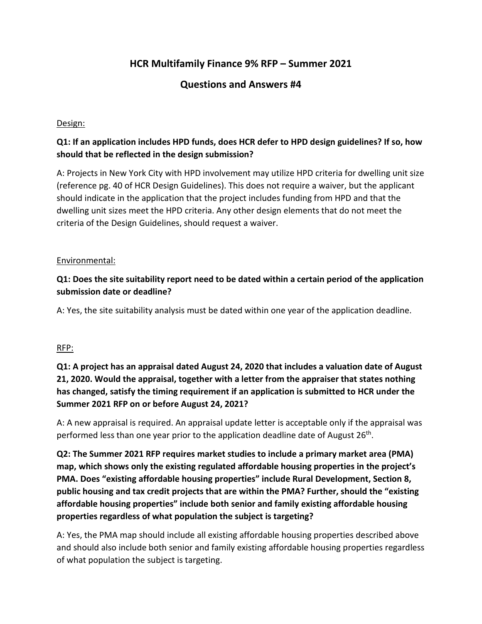# **HCR Multifamily Finance 9% RFP – Summer 2021**

# **Questions and Answers #4**

#### Design:

## **Q1: If an application includes HPD funds, does HCR defer to HPD design guidelines? If so, how should that be reflected in the design submission?**

A: Projects in New York City with HPD involvement may utilize HPD criteria for dwelling unit size (reference pg. 40 of HCR Design Guidelines). This does not require a waiver, but the applicant should indicate in the application that the project includes funding from HPD and that the dwelling unit sizes meet the HPD criteria. Any other design elements that do not meet the criteria of the Design Guidelines, should request a waiver.

#### Environmental:

## **Q1: Does the site suitability report need to be dated within a certain period of the application submission date or deadline?**

A: Yes, the site suitability analysis must be dated within one year of the application deadline.

#### RFP:

# **Q1: A project has an appraisal dated August 24, 2020 that includes a valuation date of August 21, 2020. Would the appraisal, together with a letter from the appraiser that states nothing has changed, satisfy the timing requirement if an application is submitted to HCR under the Summer 2021 RFP on or before August 24, 2021?**

A: A new appraisal is required. An appraisal update letter is acceptable only if the appraisal was performed less than one year prior to the application deadline date of August 26<sup>th</sup>.

**Q2: The Summer 2021 RFP requires market studies to include a primary market area (PMA) map, which shows only the existing regulated affordable housing properties in the project's PMA. Does "existing affordable housing properties" include Rural Development, Section 8, public housing and tax credit projects that are within the PMA? Further, should the "existing affordable housing properties" include both senior and family existing affordable housing properties regardless of what population the subject is targeting?** 

A: Yes, the PMA map should include all existing affordable housing properties described above and should also include both senior and family existing affordable housing properties regardless of what population the subject is targeting.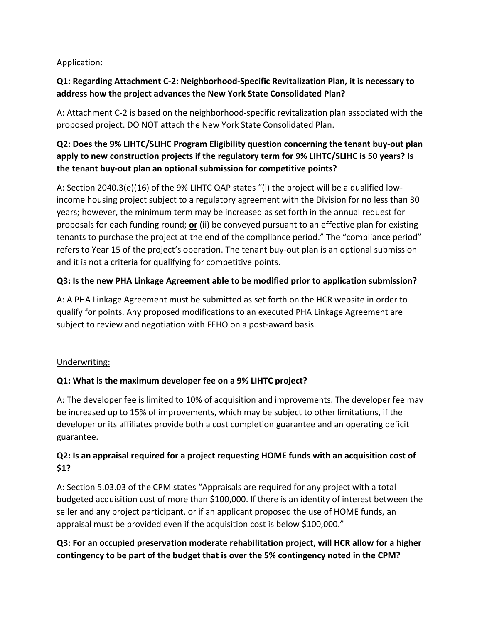## Application:

## **Q1: Regarding Attachment C-2: Neighborhood-Specific Revitalization Plan, it is necessary to address how the project advances the New York State Consolidated Plan?**

A: Attachment C-2 is based on the neighborhood-specific revitalization plan associated with the proposed project. DO NOT attach the New York State Consolidated Plan.

# **Q2: Does the 9% LIHTC/SLIHC Program Eligibility question concerning the tenant buy-out plan apply to new construction projects if the regulatory term for 9% LIHTC/SLIHC is 50 years? Is the tenant buy-out plan an optional submission for competitive points?**

A: Section 2040.3(e)(16) of the 9% LIHTC QAP states "(i) the project will be a qualified lowincome housing project subject to a regulatory agreement with the Division for no less than 30 years; however, the minimum term may be increased as set forth in the annual request for proposals for each funding round; **or** (ii) be conveyed pursuant to an effective plan for existing tenants to purchase the project at the end of the compliance period." The "compliance period" refers to Year 15 of the project's operation. The tenant buy-out plan is an optional submission and it is not a criteria for qualifying for competitive points.

## **Q3: Is the new PHA Linkage Agreement able to be modified prior to application submission?**

A: A PHA Linkage Agreement must be submitted as set forth on the HCR website in order to qualify for points. Any proposed modifications to an executed PHA Linkage Agreement are subject to review and negotiation with FEHO on a post-award basis.

#### Underwriting:

#### **Q1: What is the maximum developer fee on a 9% LIHTC project?**

A: The developer fee is limited to 10% of acquisition and improvements. The developer fee may be increased up to 15% of improvements, which may be subject to other limitations, if the developer or its affiliates provide both a cost completion guarantee and an operating deficit guarantee.

# **Q2: Is an appraisal required for a project requesting HOME funds with an acquisition cost of \$1?**

A: Section 5.03.03 of the CPM states "Appraisals are required for any project with a total budgeted acquisition cost of more than \$100,000. If there is an identity of interest between the seller and any project participant, or if an applicant proposed the use of HOME funds, an appraisal must be provided even if the acquisition cost is below \$100,000."

# **Q3: For an occupied preservation moderate rehabilitation project, will HCR allow for a higher contingency to be part of the budget that is over the 5% contingency noted in the CPM?**